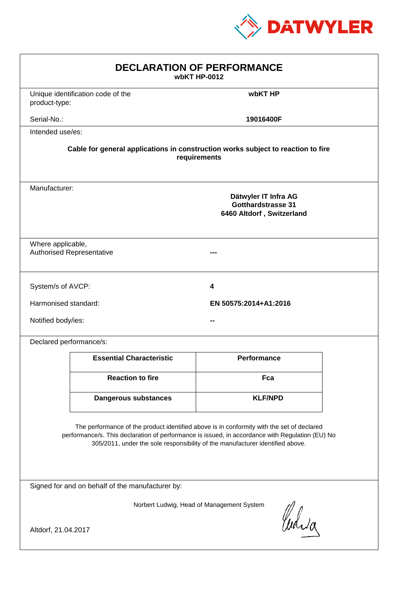

| <b>DECLARATION OF PERFORMANCE</b><br>wbKT HP-0012                                                                                                                                                                                                                             |                                                                                          |                       |  |  |  |
|-------------------------------------------------------------------------------------------------------------------------------------------------------------------------------------------------------------------------------------------------------------------------------|------------------------------------------------------------------------------------------|-----------------------|--|--|--|
| product-type:                                                                                                                                                                                                                                                                 | Unique identification code of the                                                        | wbKT HP               |  |  |  |
| Serial-No.:                                                                                                                                                                                                                                                                   |                                                                                          | 19016400F             |  |  |  |
| Intended use/es:                                                                                                                                                                                                                                                              |                                                                                          |                       |  |  |  |
| Cable for general applications in construction works subject to reaction to fire<br>requirements                                                                                                                                                                              |                                                                                          |                       |  |  |  |
|                                                                                                                                                                                                                                                                               | Manufacturer:<br>Dätwyler IT Infra AG<br>Gotthardstrasse 31<br>6460 Altdorf, Switzerland |                       |  |  |  |
|                                                                                                                                                                                                                                                                               | Where applicable,<br><b>Authorised Representative</b>                                    |                       |  |  |  |
| System/s of AVCP:                                                                                                                                                                                                                                                             |                                                                                          | 4                     |  |  |  |
| Harmonised standard:                                                                                                                                                                                                                                                          |                                                                                          | EN 50575:2014+A1:2016 |  |  |  |
| Notified body/ies:                                                                                                                                                                                                                                                            |                                                                                          |                       |  |  |  |
| Declared performance/s:                                                                                                                                                                                                                                                       |                                                                                          |                       |  |  |  |
|                                                                                                                                                                                                                                                                               | <b>Essential Characteristic</b>                                                          | <b>Performance</b>    |  |  |  |
|                                                                                                                                                                                                                                                                               | <b>Reaction to fire</b>                                                                  | Fca                   |  |  |  |
|                                                                                                                                                                                                                                                                               | <b>Dangerous substances</b>                                                              | <b>KLF/NPD</b>        |  |  |  |
| The performance of the product identified above is in conformity with the set of declared<br>performance/s. This declaration of performance is issued, in accordance with Regulation (EU) No<br>305/2011, under the sole responsibility of the manufacturer identified above. |                                                                                          |                       |  |  |  |
| Signed for and on behalf of the manufacturer by:                                                                                                                                                                                                                              |                                                                                          |                       |  |  |  |
| Norbert Ludwig, Head of Management System<br>Curia                                                                                                                                                                                                                            |                                                                                          |                       |  |  |  |
| Altdorf, 21.04.2017                                                                                                                                                                                                                                                           |                                                                                          |                       |  |  |  |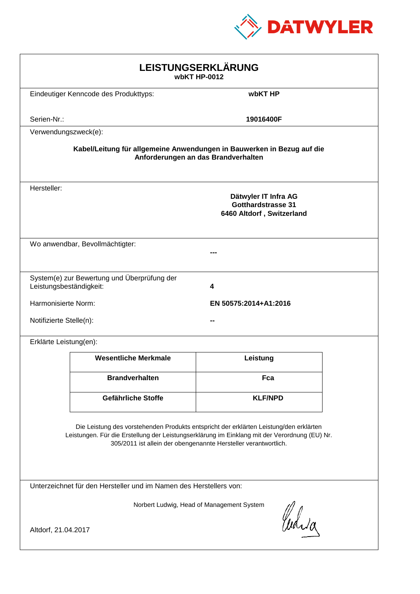

| LEISTUNGSERKLÄRUNG<br>wbKT HP-0012                                                                                                                                                                                                                         |                                                                             |                                                                                |  |  |  |
|------------------------------------------------------------------------------------------------------------------------------------------------------------------------------------------------------------------------------------------------------------|-----------------------------------------------------------------------------|--------------------------------------------------------------------------------|--|--|--|
| Eindeutiger Kenncode des Produkttyps:                                                                                                                                                                                                                      |                                                                             | wbKT HP                                                                        |  |  |  |
| Serien-Nr.:                                                                                                                                                                                                                                                |                                                                             | 19016400F                                                                      |  |  |  |
| Verwendungszweck(e):                                                                                                                                                                                                                                       |                                                                             |                                                                                |  |  |  |
| Kabel/Leitung für allgemeine Anwendungen in Bauwerken in Bezug auf die<br>Anforderungen an das Brandverhalten                                                                                                                                              |                                                                             |                                                                                |  |  |  |
| Hersteller:                                                                                                                                                                                                                                                |                                                                             | Dätwyler IT Infra AG<br><b>Gotthardstrasse 31</b><br>6460 Altdorf, Switzerland |  |  |  |
|                                                                                                                                                                                                                                                            | Wo anwendbar, Bevollmächtigter:                                             |                                                                                |  |  |  |
|                                                                                                                                                                                                                                                            | System(e) zur Bewertung und Überprüfung der<br>Leistungsbeständigkeit:<br>4 |                                                                                |  |  |  |
|                                                                                                                                                                                                                                                            | Harmonisierte Norm:<br>EN 50575:2014+A1:2016                                |                                                                                |  |  |  |
|                                                                                                                                                                                                                                                            | Notifizierte Stelle(n):                                                     |                                                                                |  |  |  |
| Erklärte Leistung(en):                                                                                                                                                                                                                                     |                                                                             |                                                                                |  |  |  |
|                                                                                                                                                                                                                                                            | <b>Wesentliche Merkmale</b>                                                 | Leistung                                                                       |  |  |  |
|                                                                                                                                                                                                                                                            | <b>Brandverhalten</b>                                                       | Fca                                                                            |  |  |  |
|                                                                                                                                                                                                                                                            | Gefährliche Stoffe                                                          | <b>KLF/NPD</b>                                                                 |  |  |  |
| Die Leistung des vorstehenden Produkts entspricht der erklärten Leistung/den erklärten<br>Leistungen. Für die Erstellung der Leistungserklärung im Einklang mit der Verordnung (EU) Nr.<br>305/2011 ist allein der obengenannte Hersteller verantwortlich. |                                                                             |                                                                                |  |  |  |
| Unterzeichnet für den Hersteller und im Namen des Herstellers von:                                                                                                                                                                                         |                                                                             |                                                                                |  |  |  |
| Norbert Ludwig, Head of Management System<br>Curica                                                                                                                                                                                                        |                                                                             |                                                                                |  |  |  |
| Altdorf, 21.04.2017                                                                                                                                                                                                                                        |                                                                             |                                                                                |  |  |  |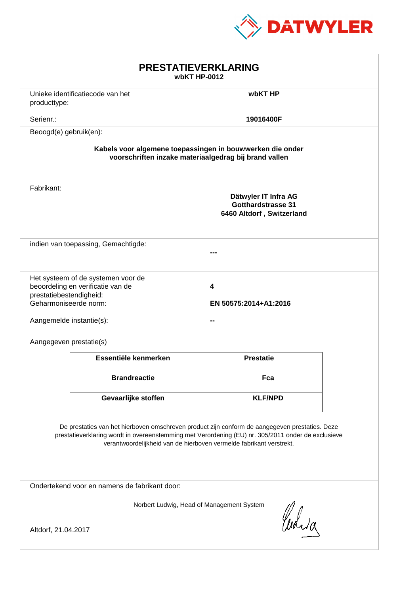

| <b>PRESTATIEVERKLARING</b><br>wbKT HP-0012                                                                                                                                                                                                                                  |                                                                         |                                                                                |  |  |
|-----------------------------------------------------------------------------------------------------------------------------------------------------------------------------------------------------------------------------------------------------------------------------|-------------------------------------------------------------------------|--------------------------------------------------------------------------------|--|--|
| producttype:                                                                                                                                                                                                                                                                | Unieke identificatiecode van het                                        | wbKT HP                                                                        |  |  |
| Serienr.:                                                                                                                                                                                                                                                                   |                                                                         | 19016400F                                                                      |  |  |
| Beoogd(e) gebruik(en):                                                                                                                                                                                                                                                      |                                                                         |                                                                                |  |  |
| Kabels voor algemene toepassingen in bouwwerken die onder<br>voorschriften inzake materiaalgedrag bij brand vallen                                                                                                                                                          |                                                                         |                                                                                |  |  |
| Fabrikant:                                                                                                                                                                                                                                                                  |                                                                         | Dätwyler IT Infra AG<br><b>Gotthardstrasse 31</b><br>6460 Altdorf, Switzerland |  |  |
|                                                                                                                                                                                                                                                                             | indien van toepassing, Gemachtigde:                                     |                                                                                |  |  |
| prestatiebestendigheid:<br>Geharmoniseerde norm:<br>Aangemelde instantie(s):                                                                                                                                                                                                | Het systeem of de systemen voor de<br>beoordeling en verificatie van de | 4<br>EN 50575:2014+A1:2016                                                     |  |  |
| Aangegeven prestatie(s)                                                                                                                                                                                                                                                     |                                                                         |                                                                                |  |  |
|                                                                                                                                                                                                                                                                             | Essentiële kenmerken                                                    | <b>Prestatie</b>                                                               |  |  |
|                                                                                                                                                                                                                                                                             | <b>Brandreactie</b>                                                     | Fca                                                                            |  |  |
|                                                                                                                                                                                                                                                                             | Gevaarlijke stoffen                                                     | <b>KLF/NPD</b>                                                                 |  |  |
| De prestaties van het hierboven omschreven product zijn conform de aangegeven prestaties. Deze<br>prestatieverklaring wordt in overeenstemming met Verordening (EU) nr. 305/2011 onder de exclusieve<br>verantwoordelijkheid van de hierboven vermelde fabrikant verstrekt. |                                                                         |                                                                                |  |  |
| Ondertekend voor en namens de fabrikant door:                                                                                                                                                                                                                               |                                                                         |                                                                                |  |  |
| Norbert Ludwig, Head of Management System<br>Curia<br>Altdorf, 21.04.2017                                                                                                                                                                                                   |                                                                         |                                                                                |  |  |
|                                                                                                                                                                                                                                                                             |                                                                         |                                                                                |  |  |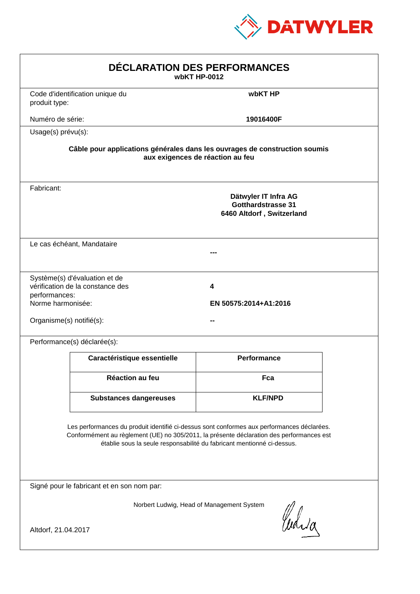

| DÉCLARATION DES PERFORMANCES<br>wbKT HP-0012                                                                                                                                                                                                                     |                                                                   |                                                                                                                |  |
|------------------------------------------------------------------------------------------------------------------------------------------------------------------------------------------------------------------------------------------------------------------|-------------------------------------------------------------------|----------------------------------------------------------------------------------------------------------------|--|
| produit type:                                                                                                                                                                                                                                                    | Code d'identification unique du                                   | wbKT HP                                                                                                        |  |
| Numéro de série:                                                                                                                                                                                                                                                 |                                                                   | 19016400F                                                                                                      |  |
| Usage(s) prévu(s):                                                                                                                                                                                                                                               |                                                                   |                                                                                                                |  |
|                                                                                                                                                                                                                                                                  |                                                                   | Câble pour applications générales dans les ouvrages de construction soumis<br>aux exigences de réaction au feu |  |
| Fabricant:                                                                                                                                                                                                                                                       |                                                                   | Dätwyler IT Infra AG<br><b>Gotthardstrasse 31</b><br>6460 Altdorf, Switzerland                                 |  |
|                                                                                                                                                                                                                                                                  | Le cas échéant, Mandataire                                        |                                                                                                                |  |
| performances:<br>Norme harmonisée:<br>Organisme(s) notifié(s):                                                                                                                                                                                                   | Système(s) d'évaluation et de<br>vérification de la constance des | 4<br>EN 50575:2014+A1:2016                                                                                     |  |
|                                                                                                                                                                                                                                                                  | Performance(s) déclarée(s):                                       |                                                                                                                |  |
|                                                                                                                                                                                                                                                                  | Caractéristique essentielle                                       | <b>Performance</b>                                                                                             |  |
|                                                                                                                                                                                                                                                                  | <b>Réaction au feu</b>                                            | Fca                                                                                                            |  |
|                                                                                                                                                                                                                                                                  | <b>Substances dangereuses</b>                                     | <b>KLF/NPD</b>                                                                                                 |  |
| Les performances du produit identifié ci-dessus sont conformes aux performances déclarées.<br>Conformément au règlement (UE) no 305/2011, la présente déclaration des performances est<br>établie sous la seule responsabilité du fabricant mentionné ci-dessus. |                                                                   |                                                                                                                |  |
|                                                                                                                                                                                                                                                                  | Signé pour le fabricant et en son nom par:                        |                                                                                                                |  |
| Altdorf, 21.04.2017                                                                                                                                                                                                                                              |                                                                   | Norbert Ludwig, Head of Management System<br>Curia                                                             |  |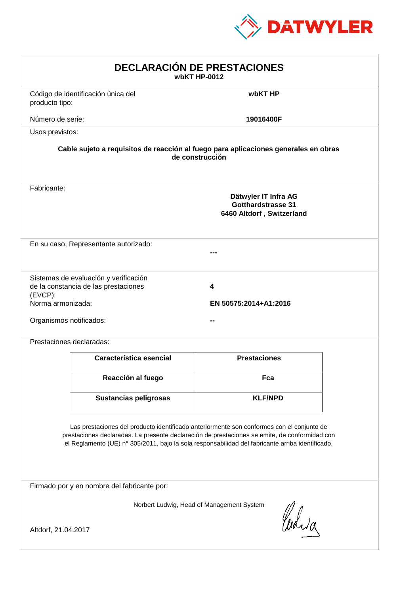

| <b>DECLARACIÓN DE PRESTACIONES</b><br>wbKT HP-0012                                                                                                                                                                                                                                             |                                                                                                                                                             |                     |  |  |  |
|------------------------------------------------------------------------------------------------------------------------------------------------------------------------------------------------------------------------------------------------------------------------------------------------|-------------------------------------------------------------------------------------------------------------------------------------------------------------|---------------------|--|--|--|
| producto tipo:                                                                                                                                                                                                                                                                                 | Código de identificación única del                                                                                                                          | wbKT HP             |  |  |  |
| Número de serie:                                                                                                                                                                                                                                                                               |                                                                                                                                                             | 19016400F           |  |  |  |
| Usos previstos:                                                                                                                                                                                                                                                                                |                                                                                                                                                             |                     |  |  |  |
|                                                                                                                                                                                                                                                                                                | Cable sujeto a requisitos de reacción al fuego para aplicaciones generales en obras<br>de construcción                                                      |                     |  |  |  |
| Fabricante:                                                                                                                                                                                                                                                                                    | Dätwyler IT Infra AG<br><b>Gotthardstrasse 31</b><br>6460 Altdorf, Switzerland                                                                              |                     |  |  |  |
|                                                                                                                                                                                                                                                                                                | En su caso, Representante autorizado:                                                                                                                       |                     |  |  |  |
| (EVCP):                                                                                                                                                                                                                                                                                        | Sistemas de evaluación y verificación<br>de la constancia de las prestaciones<br>4<br>Norma armonizada:<br>EN 50575:2014+A1:2016<br>Organismos notificados: |                     |  |  |  |
|                                                                                                                                                                                                                                                                                                | Prestaciones declaradas:                                                                                                                                    |                     |  |  |  |
|                                                                                                                                                                                                                                                                                                | Característica esencial                                                                                                                                     | <b>Prestaciones</b> |  |  |  |
|                                                                                                                                                                                                                                                                                                | Reacción al fuego                                                                                                                                           | Fca                 |  |  |  |
|                                                                                                                                                                                                                                                                                                | <b>Sustancias peligrosas</b>                                                                                                                                | <b>KLF/NPD</b>      |  |  |  |
| Las prestaciones del producto identificado anteriormente son conformes con el conjunto de<br>prestaciones declaradas. La presente declaración de prestaciones se emite, de conformidad con<br>el Reglamento (UE) nº 305/2011, bajo la sola responsabilidad del fabricante arriba identificado. |                                                                                                                                                             |                     |  |  |  |
| Firmado por y en nombre del fabricante por:                                                                                                                                                                                                                                                    |                                                                                                                                                             |                     |  |  |  |
| Norbert Ludwig, Head of Management System<br>Curia                                                                                                                                                                                                                                             |                                                                                                                                                             |                     |  |  |  |
| Altdorf, 21.04.2017                                                                                                                                                                                                                                                                            |                                                                                                                                                             |                     |  |  |  |